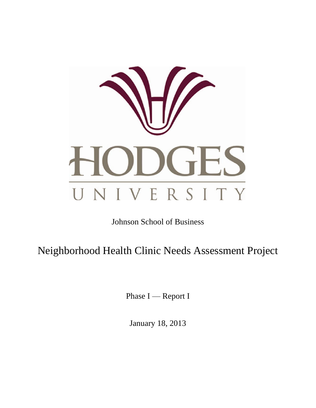

# Johnson School of Business

Neighborhood Health Clinic Needs Assessment Project

Phase I — Report I

January 18, 2013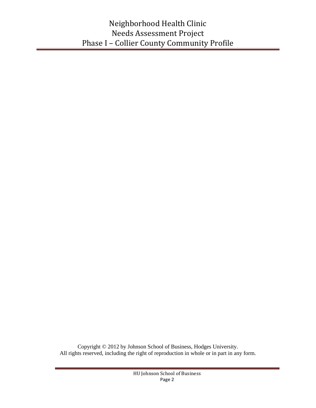Copyright © 2012 by Johnson School of Business, Hodges University. All rights reserved, including the right of reproduction in whole or in part in any form.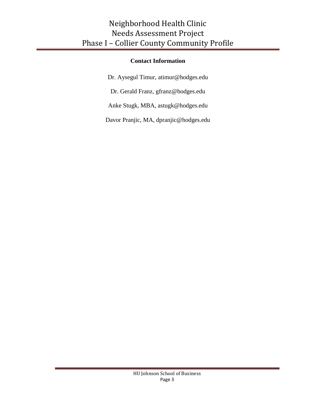### **Contact Information**

Dr. Aysegul Timur, [atimur@hodges.edu](mailto:atimur@hodges.edu)

Dr. Gerald Franz, [gfranz@hodges.edu](mailto:gfranz@hodges.edu)

Anke Stugk, MBA, [astugk@hodges.edu](mailto:astugk@hodges.edu)

Davor Pranjic, MA, [dpranjic@hodges.edu](mailto:dpranjic@hodges.edu)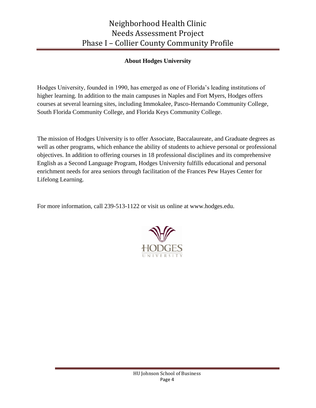### **About Hodges University**

Hodges University, founded in 1990, has emerged as one of Florida's leading institutions of higher learning. In addition to the main campuses in Naples and Fort Myers, Hodges offers courses at several learning sites, including Immokalee, Pasco-Hernando Community College, South Florida Community College, and Florida Keys Community College.

The mission of Hodges University is to offer Associate, Baccalaureate, and Graduate degrees as well as other programs, which enhance the ability of students to achieve personal or professional objectives. In addition to offering courses in 18 professional disciplines and its comprehensive English as a Second Language Program, Hodges University fulfills educational and personal enrichment needs for area seniors through facilitation of the Frances Pew Hayes Center for Lifelong Learning.

For more information, call 239-513-1122 or visit us online at www.hodges.edu.

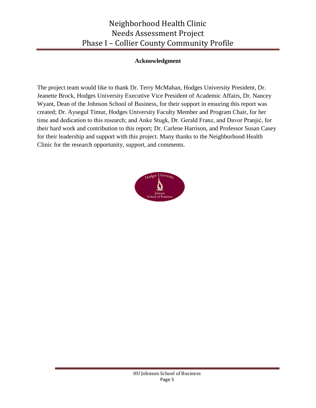#### **Acknowledgment**

The project team would like to thank Dr. Terry McMahan, Hodges University President, Dr. Jeanette Brock, Hodges University Executive Vice President of Academic Affairs, Dr. Nancey Wyant, Dean of the Johnson School of Business, for their support in ensuring this report was created; Dr. Aysegul Timur, Hodges University Faculty Member and Program Chair, for her time and dedication to this research; and Anke Stugk, Dr. Gerald Franz, and Davor Pranjić, for their hard work and contribution to this report; Dr. Carlene Harrison, and Professor Susan Casey for their leadership and support with this project. Many thanks to the Neighborhood Health Clinic for the research opportunity, support, and comments.

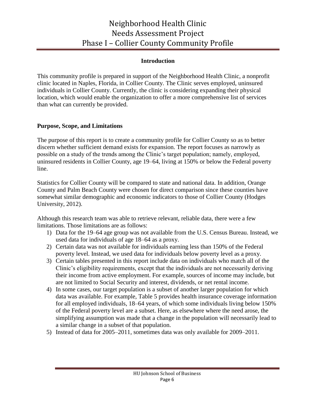#### **Introduction**

This community profile is prepared in support of the Neighborhood Health Clinic, a nonprofit clinic located in Naples, Florida, in Collier County. The Clinic serves employed, uninsured individuals in Collier County. Currently, the clinic is considering expanding their physical location, which would enable the organization to offer a more comprehensive list of services than what can currently be provided.

#### **Purpose, Scope, and Limitations**

The purpose of this report is to create a community profile for Collier County so as to better discern whether sufficient demand exists for expansion. The report focuses as narrowly as possible on a study of the trends among the Clinic's target population; namely, employed, uninsured residents in Collier County, age 19–64, living at 150% or below the Federal poverty line.

Statistics for Collier County will be compared to state and national data. In addition, Orange County and Palm Beach County were chosen for direct comparison since these counties have somewhat similar demographic and economic indicators to those of Collier County (Hodges University, 2012).

Although this research team was able to retrieve relevant, reliable data, there were a few limitations. Those limitations are as follows:

- 1) Data for the 19–64 age group was not available from the U.S. Census Bureau. Instead, we used data for individuals of age 18–64 as a proxy.
- 2) Certain data was not available for individuals earning less than 150% of the Federal poverty level. Instead, we used data for individuals below poverty level as a proxy.
- 3) Certain tables presented in this report include data on individuals who match all of the Clinic's eligibility requirements, except that the individuals are not necessarily deriving their income from active employment. For example, sources of income may include, but are not limited to Social Security and interest, dividends, or net rental income.
- 4) In some cases, our target population is a subset of another larger population for which data was available. For example, Table 5 provides health insurance coverage information for all employed individuals, 18–64 years, of which some individuals living below 150% of the Federal poverty level are a subset. Here, as elsewhere where the need arose, the simplifying assumption was made that a change in the population will necessarily lead to a similar change in a subset of that population.
- 5) Instead of data for 2005–2011, sometimes data was only available for 2009–2011.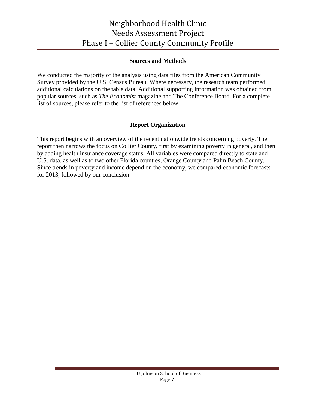#### **Sources and Methods**

We conducted the majority of the analysis using data files from the American Community Survey provided by the U.S. Census Bureau. Where necessary, the research team performed additional calculations on the table data. Additional supporting information was obtained from popular sources, such as *The Economist* magazine and The Conference Board. For a complete list of sources, please refer to the list of references below.

### **Report Organization**

This report begins with an overview of the recent nationwide trends concerning poverty. The report then narrows the focus on Collier County, first by examining poverty in general, and then by adding health insurance coverage status. All variables were compared directly to state and U.S. data, as well as to two other Florida counties, Orange County and Palm Beach County. Since trends in poverty and income depend on the economy, we compared economic forecasts for 2013, followed by our conclusion.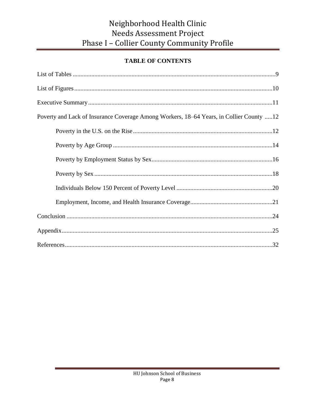### **TABLE OF CONTENTS**

| Poverty and Lack of Insurance Coverage Among Workers, 18–64 Years, in Collier County 12 |
|-----------------------------------------------------------------------------------------|
|                                                                                         |
|                                                                                         |
|                                                                                         |
|                                                                                         |
|                                                                                         |
|                                                                                         |
|                                                                                         |
|                                                                                         |
|                                                                                         |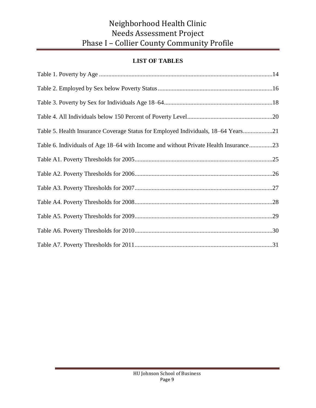### **LIST OF TABLES**

| Table 5. Health Insurance Coverage Status for Employed Individuals, 18–64 Years21    |
|--------------------------------------------------------------------------------------|
| Table 6. Individuals of Age 18–64 with Income and without Private Health Insurance23 |
|                                                                                      |
|                                                                                      |
|                                                                                      |
|                                                                                      |
|                                                                                      |
|                                                                                      |
|                                                                                      |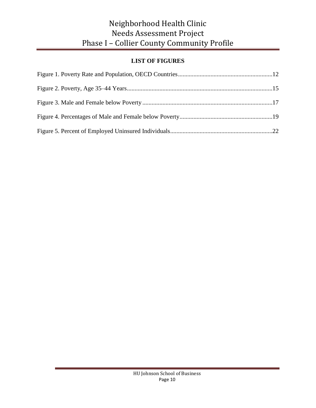### **LIST OF FIGURES**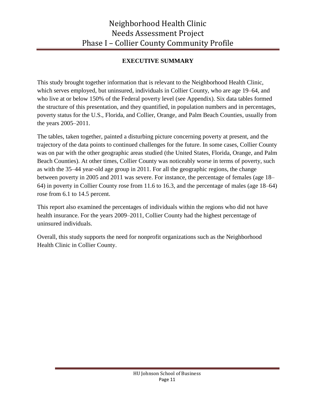### **EXECUTIVE SUMMARY**

This study brought together information that is relevant to the Neighborhood Health Clinic, which serves employed, but uninsured, individuals in Collier County, who are age 19–64, and who live at or below 150% of the Federal poverty level (see Appendix). Six data tables formed the structure of this presentation, and they quantified, in population numbers and in percentages, poverty status for the U.S., Florida, and Collier, Orange, and Palm Beach Counties, usually from the years 2005–2011.

The tables, taken together, painted a disturbing picture concerning poverty at present, and the trajectory of the data points to continued challenges for the future. In some cases, Collier County was on par with the other geographic areas studied (the United States, Florida, Orange, and Palm Beach Counties). At other times, Collier County was noticeably worse in terms of poverty, such as with the 35–44 year-old age group in 2011. For all the geographic regions, the change between poverty in 2005 and 2011 was severe. For instance, the percentage of females (age 18– 64) in poverty in Collier County rose from 11.6 to 16.3, and the percentage of males (age 18–64) rose from 6.1 to 14.5 percent.

This report also examined the percentages of individuals within the regions who did not have health insurance. For the years 2009–2011, Collier County had the highest percentage of uninsured individuals.

Overall, this study supports the need for nonprofit organizations such as the Neighborhood Health Clinic in Collier County.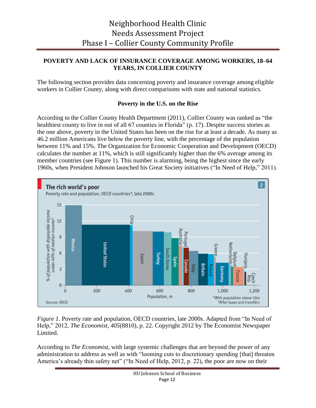#### **POVERTY AND LACK OF INSURANCE COVERAGE AMONG WORKERS, 18–64 YEARS, IN COLLIER COUNTY**

The following section provides data concerning poverty and insurance coverage among eligible workers in Collier County, along with direct comparisons with state and national statistics.

#### **Poverty in the U.S. on the Rise**

According to the Collier County Health Department  $(2011)$ , Collier County was ranked as "the healthiest county to live in out of all 67 counties in Florida" (p. 17). Despite success stories as the one above, poverty in the United States has been on the rise for at least a decade. As many as 46.2 million Americans live below the poverty line, with the percentage of the population between 11% and 15%. The Organization for Economic Cooperation and Development (OECD) calculates the number at 11%, which is still significantly higher than the 6% average among its member countries (see Figure 1). This number is alarming, being the highest since the early 1960s, when President Johnson launched his Great Society initiatives ("In Need of Help," 2011).



*Figure 1*. Poverty rate and population, OECD countries, late 2000s. Adapted from "In Need of Help," 2012, *The Economist, 405*(8810), p. 22. Copyright 2012 by The Economist Newspaper Limited.

According to *The Economist*, with large systemic challenges that are beyond the power of any administration to address as well as with "looming cuts to discretionary spending [that] threaten America's already thin safety net" ("In Need of Help, 2012, p. 22), the poor are now on their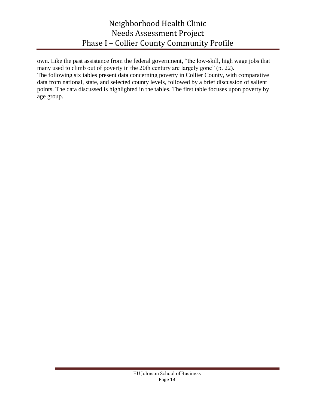own. Like the past assistance from the federal government, "the low-skill, high wage jobs that many used to climb out of poverty in the 20th century are largely gone" (p. 22). The following six tables present data concerning poverty in Collier County, with comparative data from national, state, and selected county levels, followed by a brief discussion of salient points. The data discussed is highlighted in the tables. The first table focuses upon poverty by age group.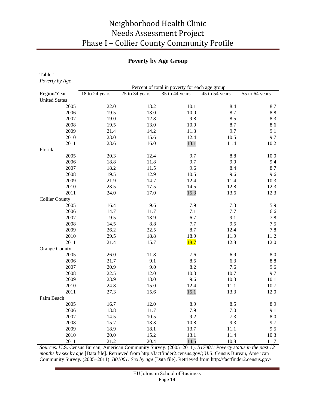### **Poverty by Age Group**

| Table 1               |                |                |                                                |                |                |
|-----------------------|----------------|----------------|------------------------------------------------|----------------|----------------|
| Poverty by Age        |                |                |                                                |                |                |
|                       |                |                | Percent of total in poverty for each age group |                |                |
| Region/Year           | 18 to 24 years | 25 to 34 years | 35 to 44 years                                 | 45 to 54 years | 55 to 64 years |
| <b>United States</b>  |                |                |                                                |                |                |
| 2005                  | 22.0           | 13.2           | 10.1                                           | 8.4            | 8.7            |
| 2006                  | 19.5           | 13.0           | 10.0                                           | 8.7            | 8.8            |
| 2007                  | 19.0           | 12.8           | 9.8                                            | 8.5            | 8.3            |
| 2008                  | 19.5           | 13.0           | 10.0                                           | 8.7            | 8.6            |
| 2009                  | 21.4           | 14.2           | 11.3                                           | 9.7            | 9.1            |
| 2010                  | 23.0           | 15.6           | 12.4                                           | 10.5           | 9.7            |
| 2011                  | 23.6           | 16.0           | 13.1                                           | 11.4           | 10.2           |
| Florida               |                |                |                                                |                |                |
| 2005                  | 20.3           | 12.4           | 9.7                                            | 8.8            | 10.0           |
| 2006                  | 18.8           | 11.8           | 9.7                                            | 9.0            | 9.4            |
| 2007                  | 18.2           | 11.5           | 9.6                                            | 8.4            | 8.7            |
| 2008                  | 19.5           | 12.9           | 10.5                                           | 9.6            | 9.6            |
| 2009                  | 21.9           | 14.7           | 12.4                                           | 11.4           | 10.3           |
| 2010                  | 23.5           | 17.5           | 14.5                                           | 12.8           | 12.3           |
| 2011                  | 24.0           | 17.0           | 15.3                                           | 13.6           | 12.3           |
| <b>Collier County</b> |                |                |                                                |                |                |
| 2005                  | 16.4           | 9.6            | 7.9                                            | 7.3            | 5.9            |
| 2006                  | 14.7           | 11.7           | 7.1                                            | 7.7            | 6.6            |
| 2007                  | 9.5            | 13.9           | 6.7                                            | 9.1            | 7.8            |
| 2008                  | 14.5           | 8.8            | 7.7                                            | 9.5            | 7.5            |
| 2009                  | 26.2           | 22.5           | 8.7                                            | 12.4           | 7.8            |
| 2010                  | 29.5           | 18.8           | 18.9                                           | 11.9           | 11.2           |
| 2011                  | 21.4           | 15.7           | <b>18.7</b>                                    | 12.8           | 12.0           |
| Orange County         |                |                |                                                |                |                |
| 2005                  | 26.0           | 11.8           | 7.6                                            | 6.9            | 8.0            |
| 2006                  | 21.7           | 9.1            | 8.5                                            | 6.3            | 8.8            |
| 2007                  | 20.9           | 9.0            | 8.2                                            | 7.6            | 9.6            |
| 2008                  | 22.5           | 12.0           | 10.3                                           | 10.7           | 9.7            |
| 2009                  | 23.9           | 13.0           | 9.6                                            | 10.3           | 10.1           |
| 2010                  | 24.8           | 15.0           | 12.4                                           | 11.1           | 10.7           |
| 2011                  | 27.3           | 15.6           | 15.1                                           | 13.3           | 12.0           |
| Palm Beach            |                |                |                                                |                |                |
| 2005                  | 16.7           | 12.0           | 8.9                                            | 8.5            | 8.9            |
| 2006                  | 13.8           | 11.7           | 7.9                                            | $7.0\,$        | 9.1            |
| 2007                  | 14.5           | 10.5           | 9.2                                            | 7.3            | 8.0            |
| 2008                  | 15.7           | 13.3           | 10.8                                           | 9.3            | 9.7            |
| 2009                  | 18.9           | 18.1           | 13.7                                           | 11.1           | 9.5            |
| 2010                  | 20.0           | 15.2           | 13.1                                           | 11.4           | 10.3           |
| 2011                  | 21.2           | 20.4           | 14.5                                           | 10.8           | 11.7           |

*Sources:* U.S. Census Bureau, American Community Survey. (2005–2011). *B17001: Poverty status in the past 12 months by sex by age* [Data file]. Retrieved from [http://factfinder2.census.gov/;](http://factfinder2.census.gov/) U.S. Census Bureau, American Community Survey. (2005–2011). *B01001: Sex by age* [Data file]. Retrieved from http://factfinder2.census.gov/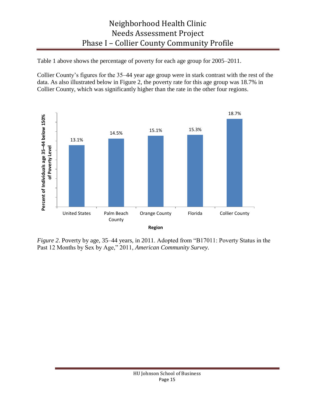Table 1 above shows the percentage of poverty for each age group for 2005–2011.

Collier County's figures for the 35–44 year age group were in stark contrast with the rest of the data. As also illustrated below in Figure 2, the poverty rate for this age group was 18.7% in Collier County, which was significantly higher than the rate in the other four regions.



*Figure 2.* Poverty by age, 35–44 years, in 2011. Adopted from "B17011: Poverty Status in the Past 12 Months by Sex by Age," 2011, *American Community Survey*.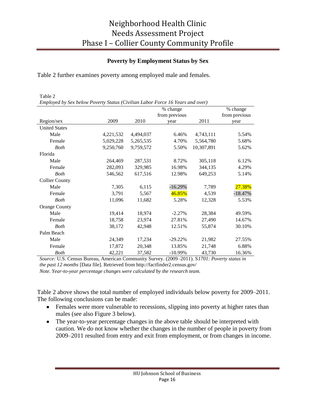#### **Poverty by Employment Status by Sex**

Table 2 further examines poverty among employed male and females.

| Table 2                                                                       |                      |           |               |            |           |  |  |  |
|-------------------------------------------------------------------------------|----------------------|-----------|---------------|------------|-----------|--|--|--|
| Employed by Sex below Poverty Status (Civilian Labor Force 16 Years and over) |                      |           |               |            |           |  |  |  |
|                                                                               | % change<br>% change |           |               |            |           |  |  |  |
|                                                                               |                      |           | from previous |            |           |  |  |  |
| Region/sex                                                                    | 2009                 | 2010      | year          | 2011       | year      |  |  |  |
| <b>United States</b>                                                          |                      |           |               |            |           |  |  |  |
| Male                                                                          | 4,221,532            | 4,494,037 | 6.46%         | 4,743,111  | 5.54%     |  |  |  |
| Female                                                                        | 5,029,228            | 5,265,535 | 4.70%         | 5,564,780  | 5.68%     |  |  |  |
| <b>Both</b>                                                                   | 9,250,760            | 9,759,572 | 5.50%         | 10,307,891 | 5.62%     |  |  |  |
| Florida                                                                       |                      |           |               |            |           |  |  |  |
| Male                                                                          | 264,469              | 287,531   | 8.72%         | 305,118    | 6.12%     |  |  |  |
| Female                                                                        | 282,093              | 329,985   | 16.98%        | 344,135    | 4.29%     |  |  |  |
| <b>Both</b>                                                                   | 546,562              | 617,516   | 12.98%        | 649,253    | 5.14%     |  |  |  |
| <b>Collier County</b>                                                         |                      |           |               |            |           |  |  |  |
| Male                                                                          | 7,305                | 6,115     | $-16.29%$     | 7,789      | 27.38%    |  |  |  |
| Female                                                                        | 3,791                | 5,567     | 46.85%        | 4,539      | $-18.47%$ |  |  |  |
| <b>Both</b>                                                                   | 11,096               | 11,682    | 5.28%         | 12,328     | 5.53%     |  |  |  |
| <b>Orange County</b>                                                          |                      |           |               |            |           |  |  |  |
| Male                                                                          | 19,414               | 18,974    | $-2.27%$      | 28,384     | 49.59%    |  |  |  |
| Female                                                                        | 18,758               | 23,974    | 27.81%        | 27,490     | 14.67%    |  |  |  |
| <b>Both</b>                                                                   | 38,172               | 42,948    | 12.51%        | 55,874     | 30.10%    |  |  |  |
| Palm Beach                                                                    |                      |           |               |            |           |  |  |  |
| Male                                                                          | 24,349               | 17,234    | $-29.22\%$    | 21,982     | 27.55%    |  |  |  |
| Female                                                                        | 17,872               | 20,348    | 13.85%        | 21,748     | 6.88%     |  |  |  |
| <b>Both</b>                                                                   | 42,221               | 37,582    | $-10.99%$     | 43,730     | 16.36%    |  |  |  |

*Source:* U.S. Census Bureau, American Community Survey. (2009–2011). S*1701: Poverty status in the past 12 months* [Data file]. Retrieved from http://factfinder2.census.gov/

*Note. Year-to-year percentage changes were calculated by the research team.*

Table 2 above shows the total number of employed individuals below poverty for 2009–2011. The following conclusions can be made:

- Females were more vulnerable to recessions, slipping into poverty at higher rates than males (see also Figure 3 below).
- The year-to-year percentage changes in the above table should be interpreted with caution. We do not know whether the changes in the number of people in poverty from 2009–2011 resulted from entry and exit from employment, or from changes in income.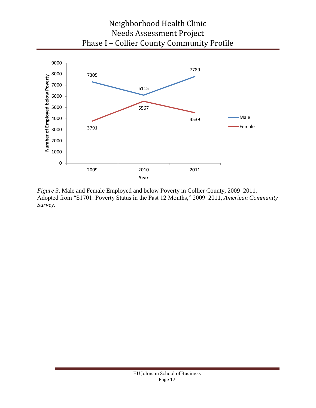

*Figure 3*. Male and Female Employed and below Poverty in Collier County, 2009–2011. Adopted from "S1701: Poverty Status in the Past 12 Months," 2009–2011, *American Community Survey*.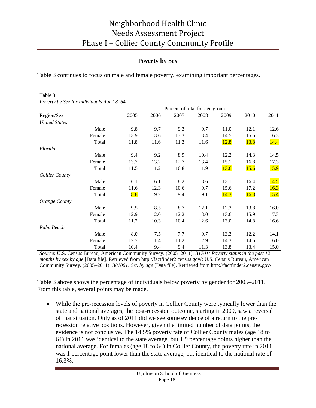### **Poverty by Sex**

Table 3 continues to focus on male and female poverty, examining important percentages.

| Poverty by Sex for matriquates Age 16–04 |        |                                |      |      |      |      |             |      |  |
|------------------------------------------|--------|--------------------------------|------|------|------|------|-------------|------|--|
|                                          |        | Percent of total for age group |      |      |      |      |             |      |  |
| Region/Sex                               |        | 2005                           | 2006 | 2007 | 2008 | 2009 | 2010        | 2011 |  |
| <b>United States</b>                     |        |                                |      |      |      |      |             |      |  |
|                                          | Male   | 9.8                            | 9.7  | 9.3  | 9.7  | 11.0 | 12.1        | 12.6 |  |
|                                          | Female | 13.9                           | 13.6 | 13.3 | 13.4 | 14.5 | 15.6        | 16.3 |  |
|                                          | Total  | 11.8                           | 11.6 | 11.3 | 11.6 | 12.8 | <b>13.8</b> | 14.4 |  |
| Florida                                  |        |                                |      |      |      |      |             |      |  |
|                                          | Male   | 9.4                            | 9.2  | 8.9  | 10.4 | 12.2 | 14.3        | 14.5 |  |
|                                          | Female | 13.7                           | 13.2 | 12.7 | 13.4 | 15.1 | 16.8        | 17.3 |  |
|                                          | Total  | 11.5                           | 11.2 | 10.8 | 11.9 | 13.6 | 15.6        | 15.9 |  |
| <b>Collier County</b>                    |        |                                |      |      |      |      |             |      |  |
|                                          | Male   | 6.1                            | 6.1  | 8.2  | 8.6  | 13.1 | 16.4        | 14.5 |  |
|                                          | Female | 11.6                           | 12.3 | 10.6 | 9.7  | 15.6 | 17.2        | 16.3 |  |
|                                          | Total  | 8.8                            | 9.2  | 9.4  | 9.1  | 14.3 | 16.8        | 15.4 |  |
| Orange County                            |        |                                |      |      |      |      |             |      |  |
|                                          | Male   | 9.5                            | 8.5  | 8.7  | 12.1 | 12.3 | 13.8        | 16.0 |  |
|                                          | Female | 12.9                           | 12.0 | 12.2 | 13.0 | 13.6 | 15.9        | 17.3 |  |
|                                          | Total  | 11.2                           | 10.3 | 10.4 | 12.6 | 13.0 | 14.8        | 16.6 |  |
| Palm Beach                               |        |                                |      |      |      |      |             |      |  |
|                                          | Male   | 8.0                            | 7.5  | 7.7  | 9.7  | 13.3 | 12.2        | 14.1 |  |
|                                          | Female | 12.7                           | 11.4 | 11.2 | 12.9 | 14.3 | 14.6        | 16.0 |  |
|                                          | Total  | 10.4                           | 9.4  | 9.4  | 11.3 | 13.8 | 13.4        | 15.0 |  |

Table 3 *Poverty by Sex for Individuals Age 18*–*64*

*Source:* U.S. Census Bureau, American Community Survey. (2005–2011). *B1701: Poverty status in the past 12 months by sex by age* [Data file]. Retrieved from [http://factfinder2.census.gov/;](http://factfinder2.census.gov/) U.S. Census Bureau, American Community Survey. (2005–2011). *B01001: Sex by age* [Data file]. Retrieved from http://factfinder2.census.gov/

Table 3 above shows the percentage of individuals below poverty by gender for 2005–2011. From this table, several points may be made.

While the pre-recession levels of poverty in Collier County were typically lower than the  $\bullet$ state and national averages, the post-recession outcome, starting in 2009, saw a reversal of that situation. Only as of 2011 did we see some evidence of a return to the prerecession relative positions. However, given the limited number of data points, the evidence is not conclusive. The 14.5% poverty rate of Collier County males (age 18 to 64) in 2011 was identical to the state average, but 1.9 percentage points higher than the national average. For females (age 18 to 64) in Collier County, the poverty rate in 2011 was 1 percentage point lower than the state average, but identical to the national rate of 16.3%.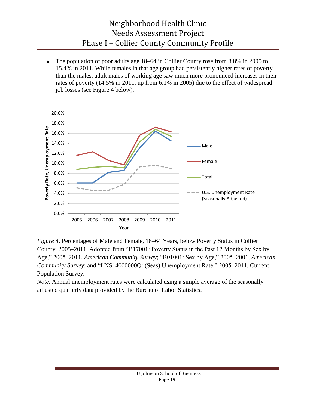The population of poor adults age 18–64 in Collier County rose from 8.8% in 2005 to 15.4% in 2011. While females in that age group had persistently higher rates of poverty than the males, adult males of working age saw much more pronounced increases in their rates of poverty (14.5% in 2011, up from 6.1% in 2005) due to the effect of widespread job losses (see Figure 4 below).



*Figure 4*. Percentages of Male and Female, 18–64 Years, below Poverty Status in Collier County, 2005–2011. Adopted from "B17001: Poverty Status in the Past 12 Months by Sex by Age," 2005–2011, *American Community Survey*; "B01001: Sex by Age," 2005–2001, *American Community Survey*; and "LNS140000000: (Seas) Unemployment Rate," 2005–2011, Current Population Survey.

*Note*. Annual unemployment rates were calculated using a simple average of the seasonally adjusted quarterly data provided by the Bureau of Labor Statistics.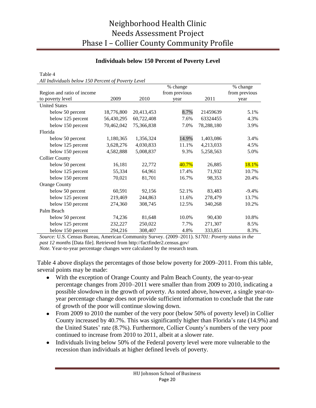#### **Individuals below 150 Percent of Poverty Level**

Table 4

*All Individuals below 150 Percent of Poverty Level*

|                            |            |            | % change      |            | % change      |
|----------------------------|------------|------------|---------------|------------|---------------|
| Region and ratio of income |            |            | from previous |            | from previous |
| to poverty level           | 2009       | 2010       | year          | 2011       | year          |
| <b>United States</b>       |            |            |               |            |               |
| below 50 percent           | 18,776,800 | 20,413,453 | 8.7%          | 21459639   | 5.1%          |
| below 125 percent          | 56,430,295 | 60,722,408 | 7.6%          | 63324455   | 4.3%          |
| below 150 percent          | 70,462,042 | 75,366,838 | 7.0%          | 78,288,180 | 3.9%          |
| Florida                    |            |            |               |            |               |
| below 50 percent           | 1,180,365  | 1,356,324  | 14.9%         | 1,403,086  | 3.4%          |
| below 125 percent          | 3,628,276  | 4,030,833  | 11.1%         | 4,213,033  | 4.5%          |
| below 150 percent          | 4,582,888  | 5,008,837  | 9.3%          | 5,258,563  | 5.0%          |
| <b>Collier County</b>      |            |            |               |            |               |
| below 50 percent           | 16,181     | 22,772     | 40.7%         | 26,885     | 18.1%         |
| below 125 percent          | 55,334     | 64,961     | 17.4%         | 71,932     | 10.7%         |
| below 150 percent          | 70,021     | 81,701     | 16.7%         | 98,353     | 20.4%         |
| <b>Orange County</b>       |            |            |               |            |               |
| below 50 percent           | 60,591     | 92,156     | 52.1%         | 83,483     | $-9.4\%$      |
| below 125 percent          | 219,469    | 244,863    | 11.6%         | 278,479    | 13.7%         |
| below 150 percent          | 274,360    | 308,745    | 12.5%         | 340,268    | 10.2%         |
| Palm Beach                 |            |            |               |            |               |
| below 50 percent           | 74,236     | 81,648     | 10.0%         | 90,430     | 10.8%         |
| below 125 percent          | 232,227    | 250,022    | 7.7%          | 271,307    | 8.5%          |
| below 150 percent          | 294,216    | 308,407    | 4.8%          | 333,851    | 8.3%          |

*Source:* U.S. Census Bureau, American Community Survey. (2009–2011). S*1701: Poverty status in the past 12 months* [Data file]. Retrieved from http://factfinder2.census.gov/

*Note.* Year-to-year percentage changes were calculated by the research team.

Table 4 above displays the percentages of those below poverty for 2009–2011. From this table, several points may be made:

- With the exception of Orange County and Palm Beach County, the year-to-year percentage changes from 2010–2011 were smaller than from 2009 to 2010, indicating a possible slowdown in the growth of poverty. As noted above, however, a single year-toyear percentage change does not provide sufficient information to conclude that the rate of growth of the poor will continue slowing down.
- From 2009 to 2010 the number of the very poor (below 50% of poverty level) in Collier County increased by 40.7%. This was significantly higher than Florida's rate (14.9%) and the United States' rate (8.7%). Furthermore, Collier County's numbers of the very poor continued to increase from 2010 to 2011, albeit at a slower rate.
- Individuals living below 50% of the Federal poverty level were more vulnerable to the  $\bullet$ recession than individuals at higher defined levels of poverty.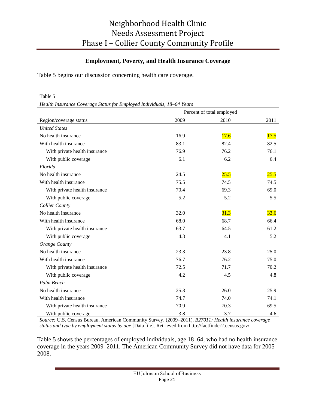#### **Employment, Poverty, and Health Insurance Coverage**

Table 5 begins our discussion concerning health care coverage.

#### Table 5

*Health Insurance Coverage Status for Employed Individuals, 18*–*64 Years*

|                               | Percent of total employed |      |      |  |  |  |
|-------------------------------|---------------------------|------|------|--|--|--|
| Region/coverage status        | 2009                      | 2010 | 2011 |  |  |  |
| <b>United States</b>          |                           |      |      |  |  |  |
| No health insurance           | 16.9                      | 17.6 | 17.5 |  |  |  |
| With health insurance         | 83.1                      | 82.4 | 82.5 |  |  |  |
| With private health insurance | 76.9                      | 76.2 | 76.1 |  |  |  |
| With public coverage          | 6.1                       | 6.2  | 6.4  |  |  |  |
| Florida                       |                           |      |      |  |  |  |
| No health insurance           | 24.5                      | 25.5 | 25.5 |  |  |  |
| With health insurance         | 75.5                      | 74.5 | 74.5 |  |  |  |
| With private health insurance | 70.4                      | 69.3 | 69.0 |  |  |  |
| With public coverage          | 5.2                       | 5.2  | 5.5  |  |  |  |
| <b>Collier County</b>         |                           |      |      |  |  |  |
| No health insurance           | 32.0                      | 31.3 | 33.6 |  |  |  |
| With health insurance         | 68.0                      | 68.7 | 66.4 |  |  |  |
| With private health insurance | 63.7                      | 64.5 | 61.2 |  |  |  |
| With public coverage          | 4.3                       | 4.1  | 5.2  |  |  |  |
| Orange County                 |                           |      |      |  |  |  |
| No health insurance           | 23.3                      | 23.8 | 25.0 |  |  |  |
| With health insurance         | 76.7                      | 76.2 | 75.0 |  |  |  |
| With private health insurance | 72.5                      | 71.7 | 70.2 |  |  |  |
| With public coverage          | 4.2                       | 4.5  | 4.8  |  |  |  |
| Palm Beach                    |                           |      |      |  |  |  |
| No health insurance           | 25.3                      | 26.0 | 25.9 |  |  |  |
| With health insurance         | 74.7                      | 74.0 | 74.1 |  |  |  |
| With private health insurance | 70.9                      | 70.3 | 69.5 |  |  |  |
| With public coverage          | 3.8                       | 3.7  | 4.6  |  |  |  |

*Source:* U.S. Census Bureau, American Community Survey. (2009–2011). *B27011: Health insurance coverage status and type by employment status by age* [Data file]. Retrieved from http://factfinder2.census.gov/

Table 5 shows the percentages of employed individuals, age 18–64, who had no health insurance coverage in the years 2009–2011. The American Community Survey did not have data for 2005– 2008.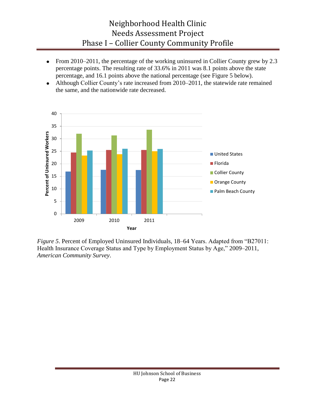- From 2010–2011, the percentage of the working uninsured in Collier County grew by 2.3 percentage points. The resulting rate of 33.6% in 2011 was 8.1 points above the state percentage, and 16.1 points above the national percentage (see Figure 5 below).
- Although Collier County's rate increased from 2010–2011, the statewide rate remained  $\bullet$ the same, and the nationwide rate decreased.



*Figure 5*. Percent of Employed Uninsured Individuals, 18–64 Years. Adapted from "B27011: Health Insurance Coverage Status and Type by Employment Status by Age," 2009–2011, *American Community Survey*.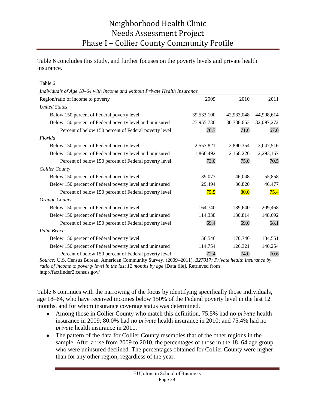Table 6 concludes this study, and further focuses on the poverty levels and private health insurance.

Table 6

*Individuals of Age 18*–*64 with Income and without Private Health Insurance*

| Region/ratio of income to poverty                        | 2009       | 2010       | 2011       |
|----------------------------------------------------------|------------|------------|------------|
| <b>United States</b>                                     |            |            |            |
| Below 150 percent of Federal poverty level               | 39,533,100 | 42,933,048 | 44,908,614 |
| Below 150 percent of Federal poverty level and uninsured | 27,955,730 | 30,738,653 | 32,097,272 |
| Percent of below 150 percent of Federal poverty level    | 70.7       | 71.6       | 67.0       |
| Florida                                                  |            |            |            |
| Below 150 percent of Federal poverty level               | 2,557,821  | 2,890,354  | 3,047,516  |
| Below 150 percent of Federal poverty level and uninsured | 1,866,492  | 2,168,226  | 2,293,157  |
| Percent of below 150 percent of Federal poverty level    | 73.0       | 75.0       | 70.5       |
| <b>Collier County</b>                                    |            |            |            |
| Below 150 percent of Federal poverty level               | 39,073     | 46,048     | 55,858     |
| Below 150 percent of Federal poverty level and uninsured | 29,494     | 36,820     | 46,477     |
| Percent of below 150 percent of Federal poverty level    | 75.5       | 80.0       | 75.4       |
| Orange County                                            |            |            |            |
| Below 150 percent of Federal poverty level               | 164,740    | 189,640    | 209,468    |
| Below 150 percent of Federal poverty level and uninsured | 114,338    | 130,814    | 148,692    |
| Percent of below 150 percent of Federal poverty level    | 69.4       | 69.0       | 68.1       |
| Palm Beach                                               |            |            |            |
| Below 150 percent of Federal poverty level               | 158,546    | 170,746    | 184,551    |
| Below 150 percent of Federal poverty level and uninsured | 114,754    | 126,321    | 140,254    |
| Percent of below 150 percent of Federal poverty level    | 72.4       | 74.0       | 70.6       |

*Source:* U.S. Census Bureau, American Community Survey. (2009–2011). *B27017: Private health insurance by ratio of income to poverty level in the last 12 months by age* [Data file]. Retrieved from http://factfinder2.census.gov/

Table 6 continues with the narrowing of the focus by identifying specifically those individuals, age 18–64, who have received incomes below 150% of the Federal poverty level in the last 12 months, and for whom insurance coverage status was determined.

- Among those in Collier County who match this definition, 75.5% had no *private* health insurance in 2009; 80.0% had no *private* health insurance in 2010; and 75.4% had no *private* health insurance in 2011.
- The pattern of the data for Collier County resembles that of the other regions in the sample. After a rise from 2009 to 2010, the percentages of those in the 18–64 age group who were uninsured declined. The percentages obtained for Collier County were higher than for any other region, regardless of the year.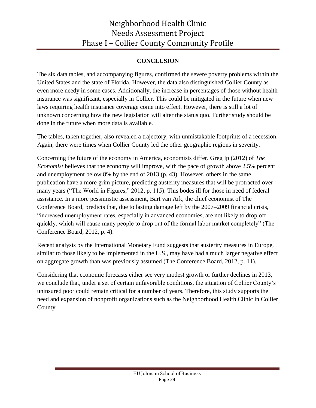### **CONCLUSION**

The six data tables, and accompanying figures, confirmed the severe poverty problems within the United States and the state of Florida. However, the data also distinguished Collier County as even more needy in some cases. Additionally, the increase in percentages of those without health insurance was significant, especially in Collier. This could be mitigated in the future when new laws requiring health insurance coverage come into effect. However, there is still a lot of unknown concerning how the new legislation will alter the status quo. Further study should be done in the future when more data is available.

The tables, taken together, also revealed a trajectory, with unmistakable footprints of a recession. Again, there were times when Collier County led the other geographic regions in severity.

Concerning the future of the economy in America, economists differ. Greg Ip (2012) of *The Economist* believes that the economy will improve, with the pace of growth above 2.5% percent and unemployment below 8% by the end of 2013 (p. 43). However, others in the same publication have a more grim picture, predicting austerity measures that will be protracted over many years ("The World in Figures," 2012, p. 115). This bodes ill for those in need of federal assistance. In a more pessimistic assessment, Bart van Ark, the chief economist of The Conference Board, predicts that, due to lasting damage left by the 2007–2009 financial crisis, ―increased unemployment rates, especially in advanced economies, are not likely to drop off quickly, which will cause many people to drop out of the formal labor market completely" (The Conference Board, 2012, p. 4).

Recent analysis by the International Monetary Fund suggests that austerity measures in Europe, similar to those likely to be implemented in the U.S., may have had a much larger negative effect on aggregate growth than was previously assumed (The Conference Board, 2012, p. 11).

Considering that economic forecasts either see very modest growth or further declines in 2013, we conclude that, under a set of certain unfavorable conditions, the situation of Collier County's uninsured poor could remain critical for a number of years. Therefore, this study supports the need and expansion of nonprofit organizations such as the Neighborhood Health Clinic in Collier County.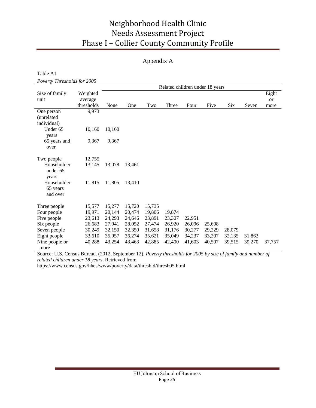### Appendix A

Table A1

*Poverty Thresholds for 2005*

|                |            | Related children under 18 years |        |        |        |        |        |        |        |               |
|----------------|------------|---------------------------------|--------|--------|--------|--------|--------|--------|--------|---------------|
| Size of family | Weighted   |                                 |        |        |        |        |        |        |        | Eight         |
| unit           | average    |                                 |        |        |        |        |        |        |        | <sub>or</sub> |
|                | thresholds | None                            | One    | Two    | Three  | Four   | Five   | Six    | Seven  | more          |
| One person     | 9,973      |                                 |        |        |        |        |        |        |        |               |
| (unrelated     |            |                                 |        |        |        |        |        |        |        |               |
| individual)    |            |                                 |        |        |        |        |        |        |        |               |
| Under 65       | 10,160     | 10,160                          |        |        |        |        |        |        |        |               |
| years          |            |                                 |        |        |        |        |        |        |        |               |
| 65 years and   | 9,367      | 9,367                           |        |        |        |        |        |        |        |               |
| over           |            |                                 |        |        |        |        |        |        |        |               |
|                |            |                                 |        |        |        |        |        |        |        |               |
| Two people     | 12,755     |                                 |        |        |        |        |        |        |        |               |
| Householder    | 13,145     | 13,078                          | 13,461 |        |        |        |        |        |        |               |
| under 65       |            |                                 |        |        |        |        |        |        |        |               |
| years          |            |                                 |        |        |        |        |        |        |        |               |
| Householder    | 11,815     | 11,805                          | 13,410 |        |        |        |        |        |        |               |
| 65 years       |            |                                 |        |        |        |        |        |        |        |               |
| and over       |            |                                 |        |        |        |        |        |        |        |               |
|                |            |                                 |        |        |        |        |        |        |        |               |
| Three people   | 15,577     | 15,277                          | 15,720 | 15,735 |        |        |        |        |        |               |
| Four people    | 19,971     | 20,144                          | 20,474 | 19,806 | 19,874 |        |        |        |        |               |
| Five people    | 23,613     | 24,293                          | 24,646 | 23,891 | 23,307 | 22,951 |        |        |        |               |
| Six people     | 26,683     | 27,941                          | 28,052 | 27,474 | 26,920 | 26,096 | 25,608 |        |        |               |
| Seven people   | 30,249     | 32,150                          | 32,350 | 31,658 | 31,176 | 30,277 | 29,229 | 28,079 |        |               |
| Eight people   | 33,610     | 35,957                          | 36,274 | 35,621 | 35,049 | 34,237 | 33,207 | 32,135 | 31,862 |               |
| Nine people or | 40,288     | 43,254                          | 43,463 | 42,885 | 42,400 | 41,603 | 40,507 | 39,515 | 39,270 | 37,757        |
| more           |            |                                 |        |        |        |        |        |        |        |               |

Source: U.S. Census Bureau. (2012, September 12). *Poverty thresholds for 2005 by size of family and number of related children under 18 years*. Retrieved from

https://www.census.gov/hhes/www/poverty/data/threshld/thresh05.html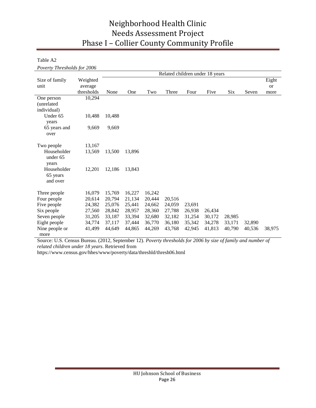Table A2

*Poverty Thresholds for 2006*

|                |            | Related children under 18 years |        |        |        |        |        |        |        |           |
|----------------|------------|---------------------------------|--------|--------|--------|--------|--------|--------|--------|-----------|
| Size of family | Weighted   |                                 |        |        |        |        |        |        |        | Eight     |
| unit           | average    |                                 |        |        |        |        |        |        |        | <b>or</b> |
|                | thresholds | None                            | One    | Two    | Three  | Four   | Five   | Six    | Seven  | more      |
| One person     | 10,294     |                                 |        |        |        |        |        |        |        |           |
| (unrelated)    |            |                                 |        |        |        |        |        |        |        |           |
| individual)    |            |                                 |        |        |        |        |        |        |        |           |
| Under 65       | 10,488     | 10,488                          |        |        |        |        |        |        |        |           |
| years          |            |                                 |        |        |        |        |        |        |        |           |
| 65 years and   | 9,669      | 9,669                           |        |        |        |        |        |        |        |           |
| over           |            |                                 |        |        |        |        |        |        |        |           |
|                |            |                                 |        |        |        |        |        |        |        |           |
| Two people     | 13,167     |                                 |        |        |        |        |        |        |        |           |
| Householder    | 13,569     | 13,500                          | 13,896 |        |        |        |        |        |        |           |
| under 65       |            |                                 |        |        |        |        |        |        |        |           |
| years          |            |                                 |        |        |        |        |        |        |        |           |
| Householder    | 12,201     | 12,186                          | 13,843 |        |        |        |        |        |        |           |
| 65 years       |            |                                 |        |        |        |        |        |        |        |           |
| and over       |            |                                 |        |        |        |        |        |        |        |           |
| Three people   | 16,079     | 15,769                          | 16,227 | 16,242 |        |        |        |        |        |           |
| Four people    | 20,614     | 20,794                          | 21,134 | 20,444 | 20,516 |        |        |        |        |           |
| Five people    | 24,382     | 25,076                          | 25,441 | 24,662 | 24,059 | 23,691 |        |        |        |           |
| Six people     | 27,560     | 28,842                          | 28,957 | 28,360 | 27,788 | 26,938 | 26,434 |        |        |           |
| Seven people   | 31,205     | 33,187                          | 33,394 | 32,680 | 32,182 | 31,254 | 30,172 | 28,985 |        |           |
| Eight people   | 34,774     | 37,117                          | 37,444 | 36,770 | 36,180 | 35,342 | 34,278 | 33,171 | 32,890 |           |
| Nine people or | 41,499     | 44,649                          | 44,865 | 44,269 | 43,768 | 42,945 | 41,813 | 40,790 | 40,536 | 38,975    |
| more           |            |                                 |        |        |        |        |        |        |        |           |

Source: U.S. Census Bureau. (2012, September 12). *Poverty thresholds for 2006 by size of family and number of related children under 18 years*. Retrieved from

https://www.census.gov/hhes/www/poverty/data/threshld/thresh06.html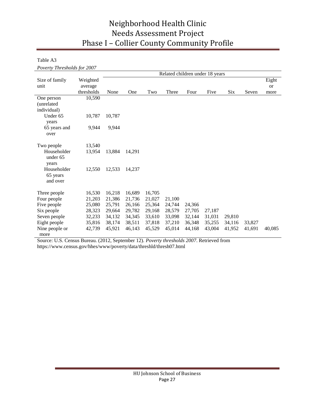Table A3

*Poverty Thresholds for 2007*

|                |            | Related children under 18 years |        |        |        |        |        |        |        |           |
|----------------|------------|---------------------------------|--------|--------|--------|--------|--------|--------|--------|-----------|
| Size of family | Weighted   |                                 |        |        |        |        |        |        |        | Eight     |
| unit           | average    |                                 |        |        |        |        |        |        |        | <b>or</b> |
|                | thresholds | None                            | One    | Two    | Three  | Four   | Five   | Six    | Seven  | more      |
| One person     | 10,590     |                                 |        |        |        |        |        |        |        |           |
| (unrelated     |            |                                 |        |        |        |        |        |        |        |           |
| individual)    |            |                                 |        |        |        |        |        |        |        |           |
| Under 65       | 10,787     | 10,787                          |        |        |        |        |        |        |        |           |
| years          |            |                                 |        |        |        |        |        |        |        |           |
| 65 years and   | 9,944      | 9,944                           |        |        |        |        |        |        |        |           |
| over           |            |                                 |        |        |        |        |        |        |        |           |
|                |            |                                 |        |        |        |        |        |        |        |           |
| Two people     | 13,540     |                                 |        |        |        |        |        |        |        |           |
| Householder    | 13,954     | 13.884                          | 14,291 |        |        |        |        |        |        |           |
| under 65       |            |                                 |        |        |        |        |        |        |        |           |
| years          |            |                                 |        |        |        |        |        |        |        |           |
| Householder    | 12,550     | 12,533                          | 14,237 |        |        |        |        |        |        |           |
| 65 years       |            |                                 |        |        |        |        |        |        |        |           |
| and over       |            |                                 |        |        |        |        |        |        |        |           |
| Three people   | 16,530     | 16,218                          | 16,689 | 16,705 |        |        |        |        |        |           |
| Four people    | 21,203     | 21,386                          | 21,736 | 21,027 | 21,100 |        |        |        |        |           |
| Five people    | 25,080     | 25,791                          | 26,166 | 25,364 | 24,744 | 24,366 |        |        |        |           |
| Six people     | 28,323     | 29,664                          | 29,782 | 29,168 | 28,579 | 27,705 | 27,187 |        |        |           |
| Seven people   | 32,233     | 34,132                          | 34,345 | 33,610 | 33,098 | 32,144 | 31,031 | 29,810 |        |           |
| Eight people   | 35,816     | 38,174                          | 38,511 | 37,818 | 37,210 | 36,348 | 35,255 | 34,116 | 33,827 |           |
| Nine people or | 42,739     | 45,921                          | 46,143 | 45,529 | 45,014 | 44,168 | 43,004 | 41,952 | 41,691 | 40,085    |
| more           |            |                                 |        |        |        |        |        |        |        |           |

Source: U.S. Census Bureau. (2012, September 12). *Poverty thresholds 2007*. Retrieved from https://www.census.gov/hhes/www/poverty/data/threshld/thresh07.html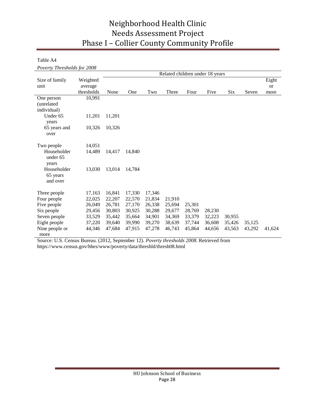Table A4

*Poverty Thresholds for 2008*

|                                     |            | Related children under 18 years |        |        |        |        |        |        |        |        |
|-------------------------------------|------------|---------------------------------|--------|--------|--------|--------|--------|--------|--------|--------|
| Size of family                      | Weighted   |                                 |        |        |        |        |        |        |        | Eight  |
| unit                                | average    |                                 |        |        |        |        |        |        |        | or     |
|                                     | thresholds | None                            | One    | Two    | Three  | Four   | Five   | Six    | Seven  | more   |
| One person                          | 10,991     |                                 |        |        |        |        |        |        |        |        |
| (unrelated                          |            |                                 |        |        |        |        |        |        |        |        |
| individual)                         |            |                                 |        |        |        |        |        |        |        |        |
| Under 65<br>years                   | 11,201     | 11,201                          |        |        |        |        |        |        |        |        |
| 65 years and<br>over                | 10,326     | 10,326                          |        |        |        |        |        |        |        |        |
|                                     |            |                                 |        |        |        |        |        |        |        |        |
| Two people                          | 14,051     |                                 |        |        |        |        |        |        |        |        |
| Householder<br>under 65<br>years    | 14,489     | 14.417                          | 14,840 |        |        |        |        |        |        |        |
| Householder<br>65 years<br>and over | 13,030     | 13,014                          | 14,784 |        |        |        |        |        |        |        |
| Three people                        | 17,163     | 16,841                          | 17,330 | 17,346 |        |        |        |        |        |        |
| Four people                         | 22,025     | 22,207                          | 22,570 | 21,834 | 21,910 |        |        |        |        |        |
| Five people                         | 26,049     | 26,781                          | 27,170 | 26,338 | 25,694 | 25,301 |        |        |        |        |
| Six people                          | 29,456     | 30,803                          | 30,925 | 30,288 | 29,677 | 28,769 | 28,230 |        |        |        |
| Seven people                        | 33,529     | 35,442                          | 35,664 | 34,901 | 34,369 | 33,379 | 32,223 | 30,955 |        |        |
| Eight people                        | 37,220     | 39,640                          | 39,990 | 39,270 | 38,639 | 37,744 | 36,608 | 35,426 | 35,125 |        |
| Nine people or                      | 44,346     | 47,684                          | 47,915 | 47,278 | 46,743 | 45,864 | 44,656 | 43,563 | 43,292 | 41,624 |
| more                                |            |                                 |        |        |        |        |        |        |        |        |

Source: U.S. Census Bureau. (2012, September 12). *Poverty thresholds 2008*. Retrieved from https://www.census.gov/hhes/www/poverty/data/threshld/thresh08.html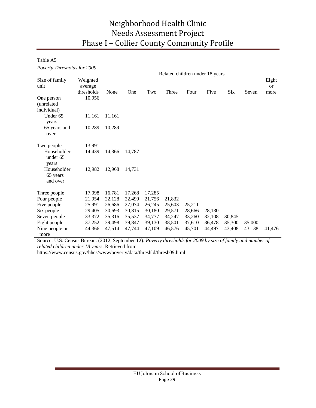Table A5

*Poverty Thresholds for 2009*

|                                     |            | Related children under 18 years |        |        |        |        |        |        |        |        |
|-------------------------------------|------------|---------------------------------|--------|--------|--------|--------|--------|--------|--------|--------|
| Size of family                      | Weighted   |                                 |        |        |        |        |        |        |        | Eight  |
| unit                                | average    |                                 |        |        |        |        |        |        |        | or     |
|                                     | thresholds | None                            | One    | Two    | Three  | Four   | Five   | Six    | Seven  | more   |
| One person                          | 10,956     |                                 |        |        |        |        |        |        |        |        |
| (unrelated                          |            |                                 |        |        |        |        |        |        |        |        |
| individual)                         |            |                                 |        |        |        |        |        |        |        |        |
| Under 65<br>years                   | 11,161     | 11,161                          |        |        |        |        |        |        |        |        |
| 65 years and                        | 10,289     | 10,289                          |        |        |        |        |        |        |        |        |
| over                                |            |                                 |        |        |        |        |        |        |        |        |
| Two people                          | 13,991     |                                 |        |        |        |        |        |        |        |        |
| Householder<br>under 65<br>years    | 14,439     | 14,366                          | 14,787 |        |        |        |        |        |        |        |
| Householder<br>65 years<br>and over | 12,982     | 12,968                          | 14,731 |        |        |        |        |        |        |        |
| Three people                        | 17,098     | 16,781                          | 17,268 | 17,285 |        |        |        |        |        |        |
| Four people                         | 21,954     | 22,128                          | 22,490 | 21,756 | 21,832 |        |        |        |        |        |
| Five people                         | 25,991     | 26,686                          | 27,074 | 26,245 | 25,603 | 25,211 |        |        |        |        |
| Six people                          | 29,405     | 30,693                          | 30,815 | 30,180 | 29,571 | 28,666 | 28,130 |        |        |        |
| Seven people                        | 33,372     | 35,316                          | 35,537 | 34,777 | 34,247 | 33,260 | 32,108 | 30,845 |        |        |
| Eight people                        | 37,252     | 39,498                          | 39,847 | 39,130 | 38,501 | 37,610 | 36,478 | 35,300 | 35,000 |        |
| Nine people or                      | 44,366     | 47,514                          | 47,744 | 47,109 | 46,576 | 45,701 | 44,497 | 43,408 | 43,138 | 41,476 |
| more                                |            |                                 |        |        |        |        |        |        |        |        |

Source: U.S. Census Bureau. (2012, September 12). *Poverty thresholds for 2009 by size of family and number of related children under 18 years*. Retrieved from

https://www.census.gov/hhes/www/poverty/data/threshld/thresh09.html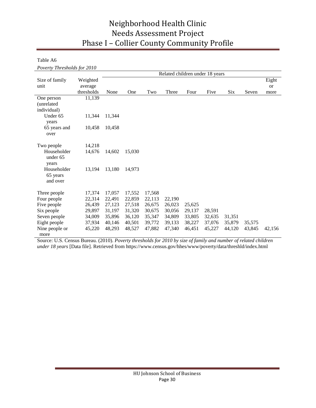Table A6

*Poverty Thresholds for 2010*

|                                     |            | Related children under 18 years |        |        |        |        |        |        |        |        |
|-------------------------------------|------------|---------------------------------|--------|--------|--------|--------|--------|--------|--------|--------|
| Size of family                      | Weighted   |                                 |        |        |        |        |        |        |        | Eight  |
| unit                                | average    |                                 |        |        |        |        |        |        |        | or     |
|                                     | thresholds | None                            | One    | Two    | Three  | Four   | Five   | Six    | Seven  | more   |
| One person                          | 11,139     |                                 |        |        |        |        |        |        |        |        |
| (unrelated                          |            |                                 |        |        |        |        |        |        |        |        |
| individual)                         |            |                                 |        |        |        |        |        |        |        |        |
| Under 65<br>years                   | 11,344     | 11,344                          |        |        |        |        |        |        |        |        |
| 65 years and<br>over                | 10,458     | 10,458                          |        |        |        |        |        |        |        |        |
|                                     |            |                                 |        |        |        |        |        |        |        |        |
| Two people                          | 14,218     |                                 |        |        |        |        |        |        |        |        |
| Householder<br>under 65<br>years    | 14,676     | 14.602                          | 15,030 |        |        |        |        |        |        |        |
| Householder<br>65 years<br>and over | 13,194     | 13,180                          | 14,973 |        |        |        |        |        |        |        |
| Three people                        | 17,374     | 17,057                          | 17,552 | 17,568 |        |        |        |        |        |        |
| Four people                         | 22,314     | 22,491                          | 22,859 | 22,113 | 22,190 |        |        |        |        |        |
| Five people                         | 26,439     | 27,123                          | 27,518 | 26,675 | 26,023 | 25,625 |        |        |        |        |
| Six people                          | 29,897     | 31,197                          | 31,320 | 30,675 | 30,056 | 29,137 | 28,591 |        |        |        |
| Seven people                        | 34,009     | 35,896                          | 36,120 | 35,347 | 34,809 | 33,805 | 32,635 | 31,351 |        |        |
| Eight people                        | 37,934     | 40,146                          | 40,501 | 39,772 | 39,133 | 38,227 | 37,076 | 35,879 | 35,575 |        |
| Nine people or                      | 45,220     | 48,293                          | 48,527 | 47,882 | 47,340 | 46,451 | 45,227 | 44,120 | 43,845 | 42,156 |
| more                                |            |                                 |        |        |        |        |        |        |        |        |

Source: U.S. Census Bureau. (2010). *Poverty thresholds for 2010 by size of family and number of related children under 18 years* [Data file]. Retrieved from https://www.census.gov/hhes/www/poverty/data/threshld/index.html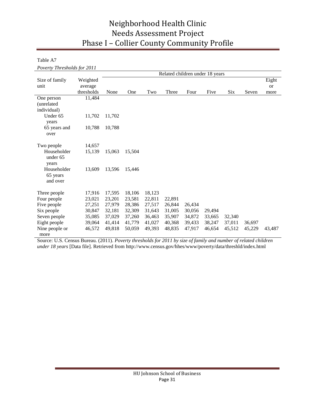Table A7

*Poverty Thresholds for 2011*

|                        |            | Related children under 18 years |        |        |        |        |        |        |        |        |
|------------------------|------------|---------------------------------|--------|--------|--------|--------|--------|--------|--------|--------|
| Size of family         | Weighted   |                                 |        |        |        |        |        |        |        | Eight  |
| unit                   | average    |                                 |        |        |        |        |        |        |        | or     |
|                        | thresholds | None                            | One    | Two    | Three  | Four   | Five   | Six    | Seven  | more   |
| One person             | 11,484     |                                 |        |        |        |        |        |        |        |        |
| (unrelated)            |            |                                 |        |        |        |        |        |        |        |        |
| individual)            |            |                                 |        |        |        |        |        |        |        |        |
| Under 65               | 11,702     | 11,702                          |        |        |        |        |        |        |        |        |
| years                  |            |                                 |        |        |        |        |        |        |        |        |
| 65 years and           | 10,788     | 10,788                          |        |        |        |        |        |        |        |        |
| over                   |            |                                 |        |        |        |        |        |        |        |        |
|                        |            |                                 |        |        |        |        |        |        |        |        |
| Two people             | 14,657     |                                 |        |        |        |        |        |        |        |        |
| Householder            | 15,139     | 15.063                          | 15,504 |        |        |        |        |        |        |        |
| under 65               |            |                                 |        |        |        |        |        |        |        |        |
| years                  |            |                                 |        |        |        |        |        |        |        |        |
| Householder            | 13,609     | 13,596                          | 15,446 |        |        |        |        |        |        |        |
| 65 years               |            |                                 |        |        |        |        |        |        |        |        |
| and over               |            |                                 |        |        |        |        |        |        |        |        |
| Three people           | 17,916     | 17,595                          | 18,106 | 18,123 |        |        |        |        |        |        |
| Four people            | 23,021     | 23,201                          | 23,581 | 22,811 | 22,891 |        |        |        |        |        |
| Five people            | 27,251     | 27,979                          | 28,386 | 27,517 | 26,844 | 26,434 |        |        |        |        |
| Six people             | 30,847     | 32,181                          | 32,309 | 31,643 | 31,005 | 30,056 | 29,494 |        |        |        |
| Seven people           | 35,085     | 37,029                          | 37,260 | 36,463 | 35,907 | 34,872 | 33,665 | 32,340 |        |        |
| Eight people           | 39,064     | 41,414                          | 41,779 | 41,027 | 40,368 | 39,433 | 38,247 | 37,011 | 36,697 |        |
|                        |            |                                 |        |        |        |        |        |        |        |        |
|                        |            |                                 |        |        |        |        |        |        |        |        |
| Nine people or<br>more | 46,572     | 49,818                          | 50,059 | 49,393 | 48,835 | 47,917 | 46,654 | 45,512 | 45,229 | 43,487 |

Source: U.S. Census Bureau. (2011). *Poverty thresholds for 2011 by size of family and number of related children under 18 years* [Data file]. Retrieved from http://www.census.gov/hhes/www/poverty/data/threshld/index.html